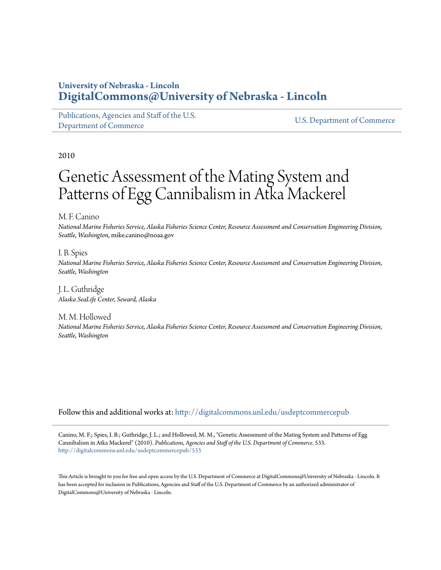## **University of Nebraska - Lincoln [DigitalCommons@University of Nebraska - Lincoln](http://digitalcommons.unl.edu?utm_source=digitalcommons.unl.edu%2Fusdeptcommercepub%2F533&utm_medium=PDF&utm_campaign=PDFCoverPages)**

[Publications, Agencies and Staff of the U.S.](http://digitalcommons.unl.edu/usdeptcommercepub?utm_source=digitalcommons.unl.edu%2Fusdeptcommercepub%2F533&utm_medium=PDF&utm_campaign=PDFCoverPages) [Department of Commerce](http://digitalcommons.unl.edu/usdeptcommercepub?utm_source=digitalcommons.unl.edu%2Fusdeptcommercepub%2F533&utm_medium=PDF&utm_campaign=PDFCoverPages)

[U.S. Department of Commerce](http://digitalcommons.unl.edu/usdeptcommerce?utm_source=digitalcommons.unl.edu%2Fusdeptcommercepub%2F533&utm_medium=PDF&utm_campaign=PDFCoverPages)

2010

# Genetic Assessment of the Mating System and Patterns of Egg Cannibalism in Atka Mackerel

M. F. Canino

*National Marine Fisheries Service, Alaska Fisheries Science Center, Resource Assessment and Conservation Engineering Division, Seattle, Washington*, mike.canino@noaa.gov

I. B. Spies *National Marine Fisheries Service, Alaska Fisheries Science Center, Resource Assessment and Conservation Engineering Division, Seattle, Washington*

J. L. Guthridge *Alaska SeaLife Center, Seward, Alaska*

M. M. Hollowed *National Marine Fisheries Service, Alaska Fisheries Science Center, Resource Assessment and Conservation Engineering Division, Seattle, Washington*

Follow this and additional works at: [http://digitalcommons.unl.edu/usdeptcommercepub](http://digitalcommons.unl.edu/usdeptcommercepub?utm_source=digitalcommons.unl.edu%2Fusdeptcommercepub%2F533&utm_medium=PDF&utm_campaign=PDFCoverPages)

Canino, M. F.; Spies, I. B.; Guthridge, J. L.; and Hollowed, M. M., "Genetic Assessment of the Mating System and Patterns of Egg Cannibalism in Atka Mackerel" (2010). *Publications, Agencies and Staff of the U.S. Department of Commerce*. 533. [http://digitalcommons.unl.edu/usdeptcommercepub/533](http://digitalcommons.unl.edu/usdeptcommercepub/533?utm_source=digitalcommons.unl.edu%2Fusdeptcommercepub%2F533&utm_medium=PDF&utm_campaign=PDFCoverPages)

This Article is brought to you for free and open access by the U.S. Department of Commerce at DigitalCommons@University of Nebraska - Lincoln. It has been accepted for inclusion in Publications, Agencies and Staff of the U.S. Department of Commerce by an authorized administrator of DigitalCommons@University of Nebraska - Lincoln.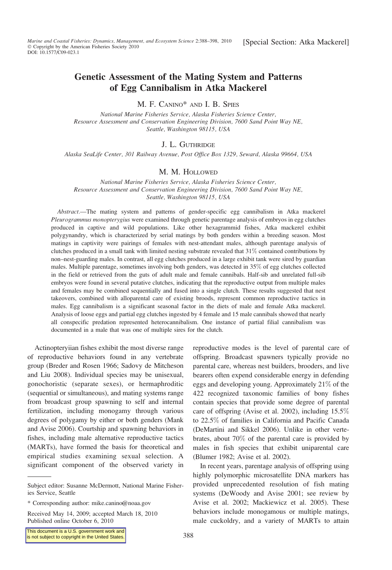### Genetic Assessment of the Mating System and Patterns of Egg Cannibalism in Atka Mackerel

M. F. CANINO\* AND I. B. SPIES

National Marine Fisheries Service, Alaska Fisheries Science Center, Resource Assessment and Conservation Engineering Division, 7600 Sand Point Way NE, Seattle, Washington 98115, USA

#### J. L. GUTHRIDGE

Alaska SeaLife Center, 301 Railway Avenue, Post Office Box 1329, Seward, Alaska 99664, USA

#### M. M. HOLLOWED

National Marine Fisheries Service, Alaska Fisheries Science Center, Resource Assessment and Conservation Engineering Division, 7600 Sand Point Way NE, Seattle, Washington 98115, USA

Abstract.—The mating system and patterns of gender-specific egg cannibalism in Atka mackerel Pleurogrammus monopterygius were examined through genetic parentage analysis of embryos in egg clutches produced in captive and wild populations. Like other hexagrammid fishes, Atka mackerel exhibit polygynandry, which is characterized by serial matings by both genders within a breeding season. Most matings in captivity were pairings of females with nest-attendant males, although parentage analysis of clutches produced in a small tank with limited nesting substrate revealed that 31% contained contributions by non–nest-guarding males. In contrast, all egg clutches produced in a large exhibit tank were sired by guardian males. Multiple parentage, sometimes involving both genders, was detected in 35% of egg clutches collected in the field or retrieved from the guts of adult male and female cannibals. Half-sib and unrelated full-sib embryos were found in several putative clutches, indicating that the reproductive output from multiple males and females may be combined sequentially and fused into a single clutch. These results suggested that nest takeovers, combined with alloparental care of existing broods, represent common reproductive tactics in males. Egg cannibalism is a significant seasonal factor in the diets of male and female Atka mackerel. Analysis of loose eggs and partial egg clutches ingested by 4 female and 15 male cannibals showed that nearly all conspecific predation represented heterocannibalism. One instance of partial filial cannibalism was documented in a male that was one of multiple sires for the clutch.

Actinopteryiian fishes exhibit the most diverse range of reproductive behaviors found in any vertebrate group (Breder and Rosen 1966; Sadovy de Mitcheson and Liu 2008). Individual species may be unisexual, gonochoristic (separate sexes), or hermaphroditic (sequential or simultaneous), and mating systems range from broadcast group spawning to self and internal fertilization, including monogamy through various degrees of polygamy by either or both genders (Mank and Avise 2006). Courtship and spawning behaviors in fishes, including male alternative reproductive tactics (MARTs), have formed the basis for theoretical and empirical studies examining sexual selection. A significant component of the observed variety in

Received May 14, 2009; accepted March 18, 2010 Published online October 6, 2010

reproductive modes is the level of parental care of offspring. Broadcast spawners typically provide no parental care, whereas nest builders, brooders, and live bearers often expend considerable energy in defending eggs and developing young. Approximately 21% of the 422 recognized taxonomic families of bony fishes contain species that provide some degree of parental care of offspring (Avise et al. 2002), including 15.5% to 22.5% of families in California and Pacific Canada (DeMartini and Sikkel 2006). Unlike in other vertebrates, about 70% of the parental care is provided by males in fish species that exhibit uniparental care (Blumer 1982; Avise et al. 2002).

In recent years, parentage analysis of offspring using highly polymorphic microsatellite DNA markers has provided unprecedented resolution of fish mating systems (DeWoody and Avise 2001; see review by Avise et al. 2002; Mackiewicz et al. 2005). These behaviors include monogamous or multiple matings, male cuckoldry, and a variety of MARTs to attain

Subject editor: Susanne McDermott, National Marine Fisheries Service, Seattle

<sup>\*</sup> Corresponding author: mike.canino@noaa.gov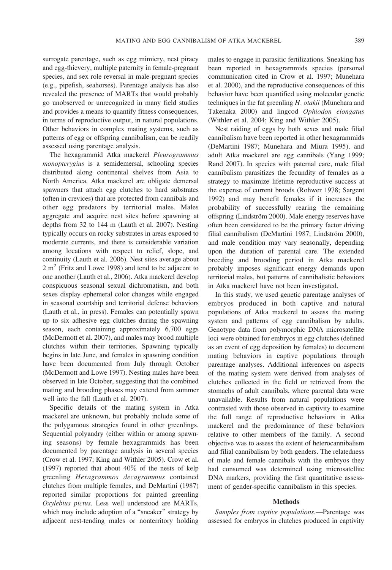surrogate parentage, such as egg mimicry, nest piracy and egg-thievery, multiple paternity in female-pregnant species, and sex role reversal in male-pregnant species (e.g., pipefish, seahorses). Parentage analysis has also revealed the presence of MARTs that would probably go unobserved or unrecognized in many field studies and provides a means to quantify fitness consequences, in terms of reproductive output, in natural populations. Other behaviors in complex mating systems, such as patterns of egg or offspring cannibalism, can be readily assessed using parentage analysis.

The hexagrammid Atka mackerel Pleurogrammus monopterygius is a semidemersal, schooling species distributed along continental shelves from Asia to North America. Atka mackerel are obligate demersal spawners that attach egg clutches to hard substrates (often in crevices) that are protected from cannibals and other egg predators by territorial males. Males aggregate and acquire nest sites before spawning at depths from 32 to 144 m (Lauth et al. 2007). Nesting typically occurs on rocky substrates in areas exposed to moderate currents, and there is considerable variation among locations with respect to relief, slope, and continuity (Lauth et al. 2006). Nest sites average about  $2 \text{ m}^2$  (Fritz and Lowe 1998) and tend to be adjacent to one another (Lauth et al., 2006). Atka mackerel develop conspicuous seasonal sexual dichromatism, and both sexes display ephemeral color changes while engaged in seasonal courtship and territorial defense behaviors (Lauth et al., in press). Females can potentially spawn up to six adhesive egg clutches during the spawning season, each containing approximately 6,700 eggs (McDermott et al. 2007), and males may brood multiple clutches within their territories. Spawning typically begins in late June, and females in spawning condition have been documented from July through October (McDermott and Lowe 1997). Nesting males have been observed in late October, suggesting that the combined mating and brooding phases may extend from summer well into the fall (Lauth et al. 2007).

Specific details of the mating system in Atka mackerel are unknown, but probably include some of the polygamous strategies found in other greenlings. Sequential polyandry (either within or among spawning seasons) by female hexagrammids has been documented by parentage analysis in several species (Crow et al. 1997; King and Withler 2005). Crow et al. (1997) reported that about 40% of the nests of kelp greenling Hexagrammos decagrammus contained clutches from multiple females, and DeMartini (1987) reported similar proportions for painted greenling Oxylebius pictus. Less well understood are MARTs, which may include adoption of a "sneaker" strategy by adjacent nest-tending males or nonterritory holding males to engage in parasitic fertilizations. Sneaking has been reported in hexagrammids species (personal communication cited in Crow et al. 1997; Munehara et al. 2000), and the reproductive consequences of this behavior have been quantified using molecular genetic techniques in the fat greenling H. otakii (Munehara and Takenaka 2000) and lingcod Ophiodon elongatus (Withler et al. 2004; King and Withler 2005).

Nest raiding of eggs by both sexes and male filial cannibalism have been reported in other hexagrammids (DeMartini 1987; Munehara and Miura 1995), and adult Atka mackerel are egg cannibals (Yang 1999; Rand 2007). In species with paternal care, male filial cannibalism parasitizes the fecundity of females as a strategy to maximize lifetime reproductive success at the expense of current broods (Rohwer 1978; Sargent 1992) and may benefit females if it increases the probability of successfully rearing the remaining offspring (Lindström 2000). Male energy reserves have often been considered to be the primary factor driving filial cannibalism (DeMartini 1987; Lindström 2000), and male condition may vary seasonally, depending upon the duration of parental care. The extended breeding and brooding period in Atka mackerel probably imposes significant energy demands upon territorial males, but patterns of cannibalistic behaviors in Atka mackerel have not been investigated.

In this study, we used genetic parentage analyses of embryos produced in both captive and natural populations of Atka mackerel to assess the mating system and patterns of egg cannibalism by adults. Genotype data from polymorphic DNA microsatellite loci were obtained for embryos in egg clutches (defined as an event of egg deposition by females) to document mating behaviors in captive populations through parentage analyses. Additional inferences on aspects of the mating system were derived from analyses of clutches collected in the field or retrieved from the stomachs of adult cannibals, where parental data were unavailable. Results from natural populations were contrasted with those observed in captivity to examine the full range of reproductive behaviors in Atka mackerel and the predominance of these behaviors relative to other members of the family. A second objective was to assess the extent of heterocannibalism and filial cannibalism by both genders. The relatedness of male and female cannibals with the embryos they had consumed was determined using microsatellite DNA markers, providing the first quantitative assessment of gender-specific cannibalism in this species.

#### **Methods**

Samples from captive populations.—Parentage was assessed for embryos in clutches produced in captivity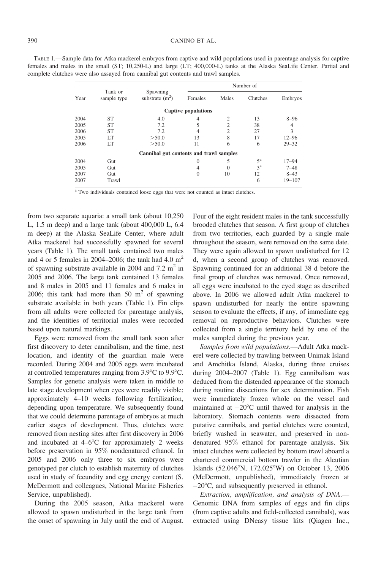| TABLE 1.—Sample data for Atka mackerel embryos from captive and wild populations used in parentage analysis for captive |  |
|-------------------------------------------------------------------------------------------------------------------------|--|
| females and males in the small (ST; 10,250-L) and large (LT; 400,000-L) tanks at the Alaska SeaLife Center. Partial and |  |
| complete clutches were also assayed from cannibal gut contents and trawl samples.                                       |  |

|      |                        |                                                  | Number of                  |                |                |            |  |  |
|------|------------------------|--------------------------------------------------|----------------------------|----------------|----------------|------------|--|--|
| Year | Tank or<br>sample type | Spawning<br>substrate $(m2)$<br>Females<br>Males |                            |                |                | Embryos    |  |  |
|      |                        |                                                  | <b>Captive populations</b> |                |                |            |  |  |
| 2004 | <b>ST</b>              | 4.0                                              | 4                          | 2              | 13             | $8 - 96$   |  |  |
| 2005 | <b>ST</b>              | 7.2                                              | 5                          | $\overline{c}$ | 38             | 4          |  |  |
| 2006 | <b>ST</b>              | 7.2                                              | 4                          | 2              | 27             | 3          |  |  |
| 2005 | LT                     | > 50.0                                           | 13                         | 8              | 17             | $12 - 96$  |  |  |
| 2006 | LT                     | > 50.0                                           | 11                         | 6              | 6              | $29 - 32$  |  |  |
|      |                        | Cannibal gut contents and trawl samples          |                            |                |                |            |  |  |
| 2004 | Gut                    |                                                  | 0                          | 5              | $5^{\rm a}$    | $17 - 94$  |  |  |
| 2005 | Gut                    |                                                  | 4                          | $\Omega$       | 3 <sup>a</sup> | $7 - 48$   |  |  |
| 2007 | Gut                    |                                                  | $\mathbf{0}$               | 10             | 12             | $8 - 43$   |  |  |
| 2007 | Trawl                  |                                                  |                            |                | 6              | $19 - 107$ |  |  |

<sup>a</sup> Two individuals contained loose eggs that were not counted as intact clutches.

from two separate aquaria: a small tank (about 10,250 L, 1.5 m deep) and a large tank (about 400,000 L, 6.4 m deep) at the Alaska SeaLife Center, where adult Atka mackerel had successfully spawned for several years (Table 1). The small tank contained two males and 4 or 5 females in 2004–2006; the tank had 4.0  $m<sup>2</sup>$ of spawning substrate available in 2004 and 7.2  $m<sup>2</sup>$  in 2005 and 2006. The large tank contained 13 females and 8 males in 2005 and 11 females and 6 males in 2006; this tank had more than 50  $m<sup>2</sup>$  of spawning substrate available in both years (Table 1). Fin clips from all adults were collected for parentage analysis, and the identities of territorial males were recorded based upon natural markings.

Eggs were removed from the small tank soon after first discovery to deter cannibalism, and the time, nest location, and identity of the guardian male were recorded. During 2004 and 2005 eggs were incubated at controlled temperatures ranging from  $3.9^{\circ}$ C to  $9.9^{\circ}$ C. Samples for genetic analysis were taken in middle to late stage development when eyes were readily visible: approximately 4–10 weeks following fertilization, depending upon temperature. We subsequently found that we could determine parentage of embryos at much earlier stages of development. Thus, clutches were removed from nesting sites after first discovery in 2006 and incubated at  $4-6^{\circ}$ C for approximately 2 weeks before preservation in 95% nondenatured ethanol. In 2005 and 2006 only three to six embryos were genotyped per clutch to establish maternity of clutches used in study of fecundity and egg energy content (S. McDermott and colleagues, National Marine Fisheries Service, unpublished).

During the 2005 season, Atka mackerel were allowed to spawn undisturbed in the large tank from the onset of spawning in July until the end of August.

Four of the eight resident males in the tank successfully brooded clutches that season. A first group of clutches from two territories, each guarded by a single male throughout the season, were removed on the same date. They were again allowed to spawn undisturbed for 12 d, when a second group of clutches was removed. Spawning continued for an additional 38 d before the final group of clutches was removed. Once removed, all eggs were incubated to the eyed stage as described above. In 2006 we allowed adult Atka mackerel to spawn undisturbed for nearly the entire spawning season to evaluate the effects, if any, of immediate egg removal on reproductive behaviors. Clutches were collected from a single territory held by one of the males sampled during the previous year.

Samples from wild populations.—Adult Atka mackerel were collected by trawling between Unimak Island and Amchitka Island, Alaska, during three cruises during 2004–2007 (Table 1). Egg cannibalism was deduced from the distended appearance of the stomach during routine dissections for sex determination. Fish were immediately frozen whole on the vessel and maintained at  $-20^{\circ}$ C until thawed for analysis in the laboratory. Stomach contents were dissected from putative cannibals, and partial clutches were counted, briefly washed in seawater, and preserved in nondenatured 95% ethanol for parentage analysis. Six intact clutches were collected by bottom trawl aboard a chartered commercial bottom trawler in the Aleutian Islands (52.046°N, 172.025°W) on October 13, 2006 (McDermott, unpublished), immediately frozen at  $-20^{\circ}$ C, and subsequently preserved in ethanol.

Extraction, amplification, and analysis of DNA.— Genomic DNA from samples of eggs and fin clips (from captive adults and field-collected cannibals), was extracted using DNeasy tissue kits (Qiagen Inc.,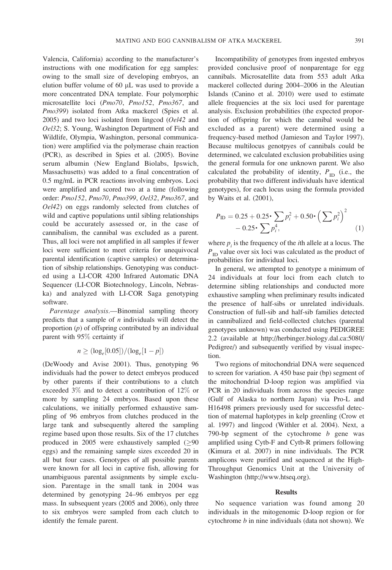Valencia, California) according to the manufacturer's instructions with one modification for egg samples: owing to the small size of developing embryos, an elution buffer volume of 60 µL was used to provide a more concentrated DNA template. Four polymorphic microsatellite loci (Pmo70, Pmo152, Pmo367, and Pmo399) isolated from Atka mackerel (Spies et al. 2005) and two loci isolated from lingcod  $(Oe/42$  and Oel32; S. Young, Washington Department of Fish and Wildlife, Olympia, Washington, personal communication) were amplified via the polymerase chain reaction (PCR), as described in Spies et al. (2005). Bovine serum albumin (New England Biolabs, Ipswich, Massachusetts) was added to a final concentration of 0.5 mg/mL in PCR reactions involving embryos. Loci were amplified and scored two at a time (following order: Pmo152, Pmo70, Pmo399, Oel32, Pmo367, and Oel42) on eggs randomly selected from clutches of wild and captive populations until sibling relationships could be accurately assessed or, in the case of cannibalism, the cannibal was excluded as a parent. Thus, all loci were not amplified in all samples if fewer loci were sufficient to meet criteria for unequivocal parental identification (captive samples) or determination of sibship relationships. Genotyping was conducted using a LI-COR 4200 Infrared Automatic DNA Sequencer (LI-COR Biotechnology, Lincoln, Nebraska) and analyzed with LI-COR Saga genotyping software.

Parentage analysis.—Binomial sampling theory predicts that a sample of  $n$  individuals will detect the proportion  $(p)$  of offspring contributed by an individual parent with 95% certainty if

$$
n \geq (\log_e[0.05])/(\log_e[1-p])
$$

(DeWoody and Avise 2001). Thus, genotyping 96 individuals had the power to detect embryos produced by other parents if their contributions to a clutch exceeded 3% and to detect a contribution of 12% or more by sampling 24 embryos. Based upon these calculations, we initially performed exhaustive sampling of 96 embryos from clutches produced in the large tank and subsequently altered the sampling regime based upon those results. Six of the 17 clutches produced in 2005 were exhaustively sampled  $(≥90$ eggs) and the remaining sample sizes exceeded 20 in all but four cases. Genotypes of all possible parents were known for all loci in captive fish, allowing for unambiguous parental assignments by simple exclusion. Parentage in the small tank in 2004 was determined by genotyping 24–96 embryos per egg mass. In subsequent years (2005 and 2006), only three to six embryos were sampled from each clutch to identify the female parent.

Incompatibility of genotypes from ingested embryos provided conclusive proof of nonparentage for egg cannibals. Microsatellite data from 553 adult Atka mackerel collected during 2004–2006 in the Aleutian Islands (Canino et al. 2010) were used to estimate allele frequencies at the six loci used for parentage analysis. Exclusion probabilities (the expected proportion of offspring for which the cannibal would be excluded as a parent) were determined using a frequency-based method (Jamieson and Taylor 1997). Because multilocus genotpyes of cannibals could be determined, we calculated exclusion probabilities using the general formula for one unknown parent. We also calculated the probability of identity,  $P_{ID}$  (i.e., the probability that two different individuals have identical genotypes), for each locus using the formula provided by Waits et al. (2001),

$$
P_{\text{ID}} = 0.25 + 0.25 \cdot \sum p_i^2 + 0.50 \cdot \left(\sum p_i^2\right)^2 - 0.25 \cdot \sum p_i^4, \tag{1}
$$

where  $p_i$  is the frequency of the *i*th allele at a locus. The  $P_{\text{ID}}$  value over six loci was calculated as the product of probabilities for individual loci.

In general, we attempted to genotype a minimum of 24 individuals at four loci from each clutch to determine sibling relationships and conducted more exhaustive sampling when preliminary results indicated the presence of half-sibs or unrelated individuals. Construction of full-sib and half-sib families detected in cannibalized and field-collected clutches (parental genotypes unknown) was conducted using PEDIGREE 2.2 (available at http://herbinger.biology.dal.ca:5080/ Pedigree/) and subsequently verified by visual inspection.

Two regions of mitochondrial DNA were sequenced to screen for variation. A 450 base pair (bp) segment of the mitochondrial D-loop region was amplified via PCR in 20 individuals from across the species range (Gulf of Alaska to northern Japan) via Pro-L and H16498 primers previously used for successful detection of maternal haplotypes in kelp greenling (Crow et al. 1997) and lingcod (Withler et al. 2004). Next, a 790-bp segment of the cytochrome  $b$  gene was amplified using Cytb-F and Cytb-R primers following (Kimura et al. 2007) in nine individuals. The PCR amplicons were purified and sequenced at the High-Throughput Genomics Unit at the University of Washington (http://www.htseq.org).

#### **Results**

No sequence variation was found among 20 individuals in the mitogenomic D-loop region or for cytochrome  $b$  in nine individuals (data not shown). We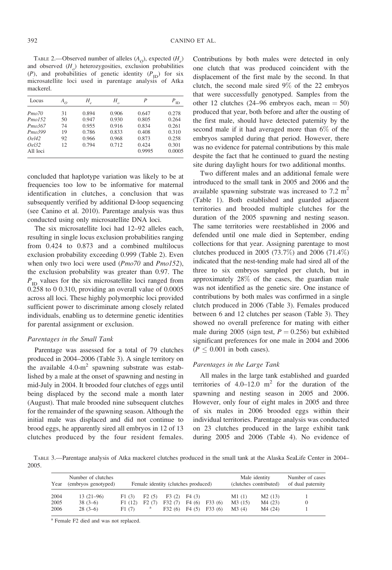TABLE 2.—Observed number of alleles  $(A<sub>O</sub>)$ , expected  $(H<sub>e</sub>)$ and observed  $(H_o)$  heterozygosities, exclusion probabilities (P), and probabilities of genetic identity ( $P_{\text{ID}}$ ) for six microsatellite loci used in parentage analysis of Atka mackerel.

| Locus               | $A_{O}$ | Η     | Η     | P      | ID     |
|---------------------|---------|-------|-------|--------|--------|
| Pmo70               | 31      | 0.894 | 0.906 | 0.647  | 0.278  |
| Pmol.52             | 50      | 0.947 | 0.930 | 0.805  | 0.264  |
| P <sub>mo</sub> 367 | 74      | 0.955 | 0.916 | 0.834  | 0.261  |
| Pmo.399             | 19      | 0.786 | 0.833 | 0.408  | 0.310  |
| Oel42               | 92      | 0.966 | 0.968 | 0.873  | 0.258  |
| Oel32               | 12      | 0.794 | 0.712 | 0.424  | 0.301  |
| All loci            |         |       |       | 0.9995 | 0.0005 |

concluded that haplotype variation was likely to be at frequencies too low to be informative for maternal identification in clutches, a conclusion that was subsequently verified by additional D-loop sequencing (see Canino et al. 2010). Parentage analysis was thus conducted using only microsatellite DNA loci.

The six microsatellite loci had 12–92 alleles each, resulting in single locus exclusion probabilities ranging from 0.424 to 0.873 and a combined multilocus exclusion probability exceeding 0.999 (Table 2). Even when only two loci were used (*Pmo70* and *Pmo152*), the exclusion probability was greater than 0.97. The  $P_{\text{ID}}$  values for the six microsatellite loci ranged from 0.258 to 0 0.310, providing an overall value of 0.0005 across all loci. These highly polymorphic loci provided sufficient power to discriminate among closely related individuals, enabling us to determine genetic identities for parental assignment or exclusion.

#### Parentages in the Small Tank

Parentage was assessed for a total of 79 clutches produced in 2004–2006 (Table 3). A single territory on the available  $4.0 \text{--} \text{m}^2$  spawning substrate was established by a male at the onset of spawning and nesting in mid-July in 2004. It brooded four clutches of eggs until being displaced by the second male a month later (August). That male brooded nine subsequent clutches for the remainder of the spawning season. Although the initial male was displaced and did not continue to brood eggs, he apparently sired all embryos in 12 of 13 clutches produced by the four resident females. Contributions by both males were detected in only one clutch that was produced coincident with the displacement of the first male by the second. In that clutch, the second male sired 9% of the 22 embryos that were successfully genotyped. Samples from the other 12 clutches (24–96 embryos each, mean  $= 50$ ) produced that year, both before and after the ousting of the first male, should have detected paternity by the second male if it had averaged more than 6% of the embryos sampled during that period. However, there was no evidence for paternal contributions by this male despite the fact that he continued to guard the nesting site during daylight hours for two additional months.

Two different males and an additional female were introduced to the small tank in 2005 and 2006 and the available spawning substrate was increased to  $7.2 \text{ m}^2$ (Table 1). Both established and guarded adjacent territories and brooded multiple clutches for the duration of the 2005 spawning and nesting season. The same territories were reestablished in 2006 and defended until one male died in September, ending collections for that year. Assigning parentage to most clutches produced in 2005 (73.7%) and 2006 (71.4%) indicated that the nest-tending male had sired all of the three to six embryos sampled per clutch, but in approximately 28% of the cases, the guardian male was not identified as the genetic sire. One instance of contributions by both males was confirmed in a single clutch produced in 2006 (Table 3). Females produced between 6 and 12 clutches per season (Table 3). They showed no overall preference for mating with either male during 2005 (sign test,  $P = 0.256$ ) but exhibited significant preferences for one male in 2004 and 2006  $(P \leq 0.001$  in both cases).

#### Parentages in the Large Tank

All males in the large tank established and guarded territories of  $4.0-12.0$  m<sup>2</sup> for the duration of the spawning and nesting season in 2005 and 2006. However, only four of eight males in 2005 and three of six males in 2006 brooded eggs within their individual territories. Parentage analysis was conducted on 23 clutches produced in the large exhibit tank during 2005 and 2006 (Table 4). No evidence of

TABLE 3.—Parentage analysis of Atka mackerel clutches produced in the small tank at the Alaska SeaLife Center in 2004– 2005.

| Year | Number of clutches<br>(embryos genotyped) | Female identity (clutches produced) |       |        | Male identity<br>(clutches contributed) |        | Number of cases<br>of dual paternity |         |  |
|------|-------------------------------------------|-------------------------------------|-------|--------|-----------------------------------------|--------|--------------------------------------|---------|--|
| 2004 | $13(21-96)$                               | F1(3)                               | F2(5) | F3(2)  | F4(3)                                   |        | M1(1)                                | M2(13)  |  |
| 2005 | $38(3-6)$                                 | F1(12)                              | F2(7) | F32(7) | F4(6)                                   | F33(6) | M3(15)                               | M4 (23) |  |
| 2006 | $28(3-6)$                                 | F1(7)                               | a     | F32(6) | F4(5)                                   | F33(6) | M3(4)                                | M4 (24) |  |

<sup>a</sup> Female F2 died and was not replaced.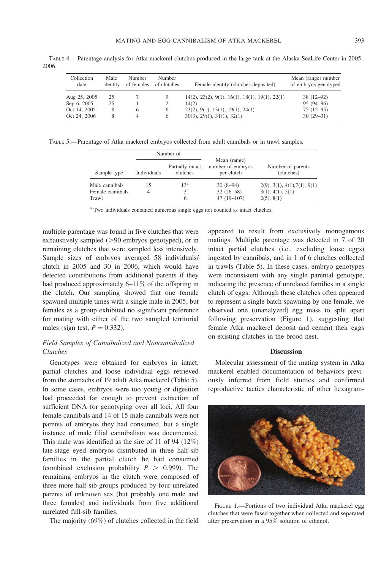Collection date Male identity Number of females Number<br>of clutches Female identity (clutches deposited) Mean (range) number of embryos genotyped Aug 25, 2005 25 7 9 14(2), 23(2), 9(1), 16(1), 18(1), 19(1), 22(1) 38 (12–92)<br>Sep 6, 2005 25 1 2 14(2) Sep 6, 2005 25 1 2 14(2) 95 (94–96)<br>Oct 14, 2005 8 6 6 23(2), 9(1), 13(1), 19(1), 24(1) 75 (12–95) Oct 14, 2005 8 6 6 23(2), 9(1), 13(1), 19(1), 24(1) 75 (12–95)<br>Oct 24, 2006 8 4 6 30(3), 29(1), 31(1), 32(1) 30(1)  $6 \qquad 30(3), 29(1), 31(1), 32(1)$ 

TABLE 4.—Parentage analysis for Atka mackerel clutches produced in the large tank at the Alaska SeaLife Center in 2005– 2006.

TABLE 5.—Parentage of Atka mackerel embryos collected from adult cannibals or in trawl samples.

|                                             |             | Number of                     |                                                 |                                                                              |  |  |
|---------------------------------------------|-------------|-------------------------------|-------------------------------------------------|------------------------------------------------------------------------------|--|--|
| Sample type                                 | Individuals | Partially intact<br>clutches  | Mean (range)<br>number of embryos<br>per clutch | Number of parents<br>(clutches)                                              |  |  |
| Male cannibals<br>Female cannibals<br>Trawl | 15          | 13 <sup>a</sup><br>$3^a$<br>6 | $30(8-94)$<br>$32(26-58)$<br>$47(19-107)$       | $2(9)$ , $3(1)$ , $4(1)$ , $7(1)$ , $9(1)$<br>3(1), 4(1), 5(1)<br>2(5), 8(1) |  |  |

<sup>a</sup> Two individuals contained numerous single eggs not counted as intact clutches.

multiple parentage was found in five clutches that were exhaustively sampled  $(>90$  embryos genotyped), or in remaining clutches that were sampled less intensively. Sample sizes of embryos averaged 58 individuals/ clutch in 2005 and 30 in 2006, which would have detected contributions from additional parents if they had produced approximately 6–11% of the offspring in the clutch. Our sampling showed that one female spawned multiple times with a single male in 2005, but females as a group exhibited no significant preference for mating with either of the two sampled territorial males (sign test,  $P = 0.332$ ).

#### Field Samples of Cannibalized and Noncannibalized Clutches

Genotypes were obtained for embryos in intact, partial clutches and loose individual eggs retrieved from the stomachs of 19 adult Atka mackerel (Table 5). In some cases, embryos were too young or digestion had proceeded far enough to prevent extraction of sufficient DNA for genotyping over all loci. All four female cannibals and 14 of 15 male cannibals were not parents of embryos they had consumed, but a single instance of male filial cannibalism was documented. This male was identified as the sire of 11 of 94 (12%) late-stage eyed embryos distributed in three half-sib families in the partial clutch he had consumed (combined exclusion probability  $P > 0.999$ ). The remaining embryos in the clutch were composed of three more half-sib groups produced by four unrelated parents of unknown sex (but probably one male and three females) and individuals from five additional unrelated full-sib families.

The majority (69%) of clutches collected in the field

appeared to result from exclusively monogamous matings. Multiple parentage was detected in 7 of 20 intact partial clutches (i.e., excluding loose eggs) ingested by cannibals, and in 1 of 6 clutches collected in trawls (Table 5). In these cases, embryo genotypes were inconsistent with any single parental genotype, indicating the presence of unrelated families in a single clutch of eggs. Although these clutches often appeared to represent a single batch spawning by one female, we observed one (unanalyzed) egg mass to split apart following preservation (Figure 1), suggesting that female Atka mackerel deposit and cement their eggs on existing clutches in the brood nest.

#### **Discussion**

Molecular assessment of the mating system in Atka mackerel enabled documentation of behaviors previously inferred from field studies and confirmed reproductive tactics characteristic of other hexagram-



FIGURE 1.—Portions of two individual Atka mackerel egg clutches that were fused together when collected and separated after preservation in a 95% solution of ethanol.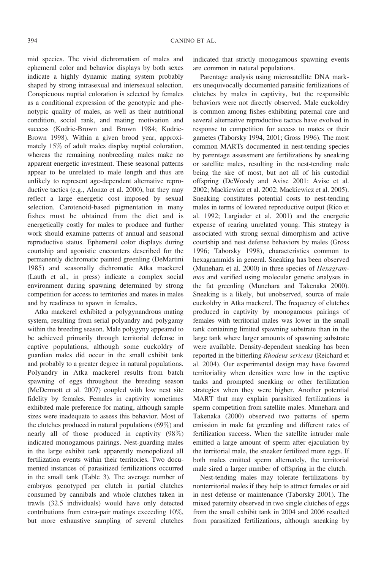mid species. The vivid dichromatism of males and ephemeral color and behavior displays by both sexes indicate a highly dynamic mating system probably shaped by strong intrasexual and intersexual selection. Conspicuous nuptial coloration is selected by females as a conditional expression of the genotypic and phenotypic quality of males, as well as their nutritional condition, social rank, and mating motivation and success (Kodric-Brown and Brown 1984; Kodric-Brown 1998). Within a given brood year, approximately 15% of adult males display nuptial coloration, whereas the remaining nonbreeding males make no apparent energetic investment. These seasonal patterns appear to be unrelated to male length and thus are unlikely to represent age-dependent alternative reproductive tactics (e.g., Alonzo et al. 2000), but they may reflect a large energetic cost imposed by sexual selection. Carotenoid-based pigmentation in many fishes must be obtained from the diet and is energetically costly for males to produce and further work should examine patterns of annual and seasonal reproductive status. Ephemeral color displays during courtship and agonistic encounters described for the permanently dichromatic painted greenling (DeMartini 1985) and seasonally dichromatic Atka mackerel (Lauth et al., in press) indicate a complex social environment during spawning determined by strong competition for access to territories and mates in males and by readiness to spawn in females.

Atka mackerel exhibited a polygynandrous mating system, resulting from serial polyandry and polygamy within the breeding season. Male polygyny appeared to be achieved primarily through territorial defense in captive populations, although some cuckoldry of guardian males did occur in the small exhibit tank and probably to a greater degree in natural populations. Polyandry in Atka mackerel results from batch spawning of eggs throughout the breeding season (McDermott et al. 2007) coupled with low nest site fidelity by females. Females in captivity sometimes exhibited male preference for mating, although sample sizes were inadequate to assess this behavior. Most of the clutches produced in natural populations (69%) and nearly all of those produced in captivity (98%) indicated monogamous pairings. Nest-guarding males in the large exhibit tank apparently monopolized all fertilization events within their territories. Two documented instances of parasitized fertilizations occurred in the small tank (Table 3). The average number of embryos genotyped per clutch in partial clutches consumed by cannibals and whole clutches taken in trawls (32.5 individuals) would have only detected contributions from extra-pair matings exceeding 10%, but more exhaustive sampling of several clutches

indicated that strictly monogamous spawning events are common in natural populations.

Parentage analysis using microsatellite DNA markers unequivocally documented parasitic fertilizations of clutches by males in captivity, but the responsible behaviors were not directly observed. Male cuckoldry is common among fishes exhibiting paternal care and several alternative reproductive tactics have evolved in response to competition for access to mates or their gametes (Taborsky 1994, 2001; Gross 1996). The most common MARTs documented in nest-tending species by parentage assessment are fertilizations by sneaking or satellite males, resulting in the nest-tending male being the sire of most, but not all of his custodial offspring (DeWoody and Avise 2001: Avise et al. 2002; Mackiewicz et al. 2002; Mackiewicz et al. 2005). Sneaking constitutes potential costs to nest-tending males in terms of lowered reproductive output (Rico et al. 1992; Largiader et al. 2001) and the energetic expense of rearing unrelated young. This strategy is associated with strong sexual dimorphism and active courtship and nest defense behaviors by males (Gross 1996; Taborsky 1998), characteristics common to hexagrammids in general. Sneaking has been observed (Munehara et al. 2000) in three species of Hexagrammos and verified using molecular genetic analyses in the fat greenling (Munehara and Takenaka 2000). Sneaking is a likely, but unobserved, source of male cuckoldry in Atka mackerel. The frequency of clutches produced in captivity by monogamous pairings of females with territorial males was lower in the small tank containing limited spawning substrate than in the large tank where larger amounts of spawning substrate were available. Density-dependent sneaking has been reported in the bitterling Rhodeus sericeus (Reichard et al. 2004). Our experimental design may have favored territoriality when densities were low in the captive tanks and prompted sneaking or other fertilization strategies when they were higher. Another potential MART that may explain parasitized fertilizations is sperm competition from satellite males. Munehara and Takenaka (2000) observed two patterns of sperm emission in male fat greenling and different rates of fertilization success. When the satellite intruder male emitted a large amount of sperm after ejaculation by the territorial male, the sneaker fertilized more eggs. If both males emitted sperm alternately, the territorial male sired a larger number of offspring in the clutch.

Nest-tending males may tolerate fertilizations by nonterritorial males if they help to attract females or aid in nest defense or maintenance (Taborsky 2001). The mixed paternity observed in two single clutches of eggs from the small exhibit tank in 2004 and 2006 resulted from parasitized fertilizations, although sneaking by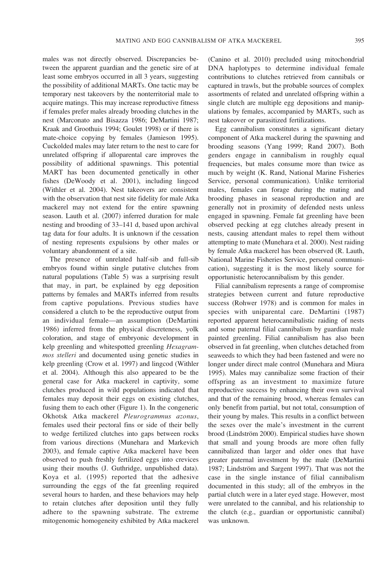males was not directly observed. Discrepancies between the apparent guardian and the genetic sire of at least some embryos occurred in all 3 years, suggesting the possibility of additional MARTs. One tactic may be temporary nest takeovers by the nonterritorial male to acquire matings. This may increase reproductive fitness if females prefer males already brooding clutches in the nest (Marconato and Bisazza 1986; DeMartini 1987; Kraak and Groothuis 1994; Goulet 1998) or if there is mate-choice copying by females (Jamieson 1995). Cuckolded males may later return to the nest to care for unrelated offspring if alloparental care improves the possibility of additional spawnings. This potential MART has been documented genetically in other fishes (DeWoody et al. 2001), including lingcod (Withler et al. 2004). Nest takeovers are consistent with the observation that nest site fidelity for male Atka mackerel may not extend for the entire spawning season. Lauth et al. (2007) inferred duration for male nesting and brooding of 33–141 d, based upon archival tag data for four adults. It is unknown if the cessation of nesting represents expulsions by other males or voluntary abandonment of a site.

The presence of unrelated half-sib and full-sib embryos found within single putative clutches from natural populations (Table 5) was a surprising result that may, in part, be explained by egg deposition patterns by females and MARTs inferred from results from captive populations. Previous studies have considered a clutch to be the reproductive output from an individual female—an assumption (DeMartini 1986) inferred from the physical discreteness, yolk coloration, and stage of embryonic development in kelp greenling and whitespotted greenling Hexagrammos stelleri and documented using genetic studies in kelp greenling (Crow et al. 1997) and lingcod (Withler et al. 2004). Although this also appeared to be the general case for Atka mackerel in captivity, some clutches produced in wild populations indicated that females may deposit their eggs on existing clutches, fusing them to each other (Figure 1). In the congeneric Okhotsk Atka mackerel Pleurogrammus azonus, females used their pectoral fins or side of their belly to wedge fertilized clutches into gaps between rocks from various directions (Munehara and Markevich 2003), and female captive Atka mackerel have been observed to push freshly fertilized eggs into crevices using their mouths (J. Guthridge, unpublished data). Koya et al. (1995) reported that the adhesive surrounding the eggs of the fat greenling required several hours to harden, and these behaviors may help to retain clutches after deposition until they fully adhere to the spawning substrate. The extreme mitogenomic homogeneity exhibited by Atka mackerel (Canino et al. 2010) precluded using mitochondrial DNA haplotypes to determine individual female contributions to clutches retrieved from cannibals or captured in trawls, but the probable sources of complex assortments of related and unrelated offspring within a single clutch are multiple egg depositions and manipulations by females, accompanied by MARTs, such as nest takeover or parasitized fertilizations.

Egg cannibalism constitutes a significant dietary component of Atka mackerel during the spawning and brooding seasons (Yang 1999; Rand 2007). Both genders engage in cannibalism in roughly equal frequencies, but males consume more than twice as much by weight (K. Rand, National Marine Fisheries Service, personal communication). Unlike territorial males, females can forage during the mating and brooding phases in seasonal reproduction and are generally not in proximity of defended nests unless engaged in spawning. Female fat greenling have been observed pecking at egg clutches already present in nests, causing attendant males to repel them without attempting to mate (Munehara et al. 2000). Nest raiding by female Atka mackerel has been observed (R. Lauth, National Marine Fisheries Service, personal communication), suggesting it is the most likely source for opportunistic heterocannibalism by this gender.

Filial cannibalism represents a range of compromise strategies between current and future reproductive success (Rohwer 1978) and is common for males in species with uniparental care. DeMartini (1987) reported apparent heterocannibalistic raiding of nests and some paternal filial cannibalism by guardian male painted greenling. Filial cannibalism has also been observed in fat greenling, when clutches detached from seaweeds to which they had been fastened and were no longer under direct male control (Munehara and Miura 1995). Males may cannibalize some fraction of their offspring as an investment to maximize future reproductive success by enhancing their own survival and that of the remaining brood, whereas females can only benefit from partial, but not total, consumption of their young by males. This results in a conflict between the sexes over the male's investment in the current brood (Lindström 2000). Empirical studies have shown that small and young broods are more often fully cannibalized than larger and older ones that have greater paternal investment by the male (DeMartini 1987; Lindström and Sargent 1997). That was not the case in the single instance of filial cannibalism documented in this study; all of the embryos in the partial clutch were in a later eyed stage. However, most were unrelated to the cannibal, and his relationship to the clutch (e.g., guardian or opportunistic cannibal) was unknown.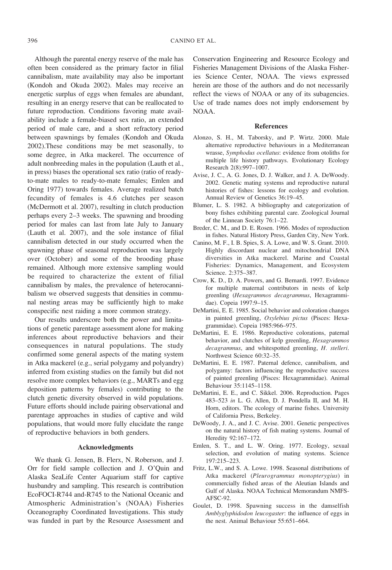Although the parental energy reserve of the male has often been considered as the primary factor in filial cannibalism, mate availability may also be important (Kondoh and Okuda 2002). Males may receive an energetic surplus of eggs when females are abundant, resulting in an energy reserve that can be reallocated to future reproduction. Conditions favoring mate availability include a female-biased sex ratio, an extended period of male care, and a short refractory period between spawnings by females (Kondoh and Okuda 2002).These conditions may be met seasonally, to some degree, in Atka mackerel. The occurrence of adult nonbreeding males in the population (Lauth et al., in press) biases the operational sex ratio (ratio of readyto-mate males to ready-to-mate females; Emlen and Oring 1977) towards females. Average realized batch fecundity of females is 4.6 clutches per season (McDermott et al. 2007), resulting in clutch production perhaps every 2–3 weeks. The spawning and brooding period for males can last from late July to January (Lauth et al. 2007), and the sole instance of filial cannibalism detected in our study occurred when the spawning phase of seasonal reproduction was largely over (October) and some of the brooding phase remained. Although more extensive sampling would be required to characterize the extent of filial cannibalism by males, the prevalence of heterocannibalism we observed suggests that densities in communal nesting areas may be sufficiently high to make conspecific nest raiding a more common strategy.

Our results underscore both the power and limitations of genetic parentage assessment alone for making inferences about reproductive behaviors and their consequences in natural populations. The study confirmed some general aspects of the mating system in Atka mackerel (e.g., serial polygamy and polyandry) inferred from existing studies on the family but did not resolve more complex behaviors (e.g., MARTs and egg deposition patterns by females) contributing to the clutch genetic diversity observed in wild populations. Future efforts should include pairing observational and parentage approaches in studies of captive and wild populations, that would more fully elucidate the range of reproductive behaviors in both genders.

#### Acknowledgments

We thank G. Jensen, B. Flerx, N. Roberson, and J. Orr for field sample collection and J. O'Quin and Alaska SeaLife Center Aquarium staff for captive husbandry and sampling. This research is contribution EcoFOCI-R744 and-R745 to the National Oceanic and Atmospheric Administration's (NOAA) Fisheries Oceanography Coordinated Investigations. This study was funded in part by the Resource Assessment and

Conservation Engineering and Resource Ecology and Fisheries Management Divisions of the Alaska Fisheries Science Center, NOAA. The views expressed herein are those of the authors and do not necessarily reflect the views of NOAA or any of its subagencies. Use of trade names does not imply endorsement by NOAA.

#### References

- Alonzo, S. H., M. Taborsky, and P. Wirtz. 2000. Male alternative reproductive behaviours in a Mediterranean wrasse, Symphodus ocellatus: evidence from otoliths for multiple life history pathways. Evolutionary Ecology Research 2(8):997–1007.
- Avise, J. C., A. G. Jones, D. J. Walker, and J. A. DeWoody. 2002. Genetic mating systems and reproductive natural histories of fishes: lessons for ecology and evolution. Annual Review of Genetics 36:19–45.
- Blumer, L. S. 1982. A bibliography and categorization of bony fishes exhibiting parental care. Zoological Journal of the Linnean Society 76:1–22.
- Breder, C. M., and D. E. Rosen. 1966. Modes of reproduction in fishes. Natural History Press, Garden City, New York.
- Canino, M. F., I. B. Spies, S. A. Lowe, and W. S. Grant. 2010. Highly discordant nuclear and mitochondrial DNA diversities in Atka mackerel. Marine and Coastal Fisheries: Dynamics, Management, and Ecosystem Science. 2:375–387.
- Crow, K. D., D. A. Powers, and G. Bernardi. 1997. Evidence for multiple maternal contributors in nests of kelp greenling (Hexagrammos decagrammus, Hexagrammidae). Copeia 1997:9–15.
- DeMartini, E. E. 1985. Social behavior and coloration changes in painted greenling, Oxylebius pictus (Pisces: Hexagrammidae). Copeia 1985:966–975.
- DeMartini, E. E. 1986. Reproductive colorations, paternal behavior, and clutches of kelp greenling, Hexagrammos decagrammus, and whitespotted greenling, H. stelleri. Northwest Science 60:32–35.
- DeMartini, E. E. 1987. Paternal defence, cannibalism, and polygamy: factors influencing the reproductive success of painted greenling (Pisces: Hexagrammidae). Animal Behaviour 35:1145–1158.
- DeMartini, E. E., and C. Sikkel. 2006. Reproduction. Pages 483–523 in L. G. Allen, D. J. Pondella II, and M. H. Horn, editors. The ecology of marine fishes. University of California Press, Berkeley.
- DeWoody, J. A., and J. C. Avise. 2001. Genetic perspectives on the natural history of fish mating systems. Journal of Heredity 92:167–172.
- Emlen, S. T., and L. W. Oring. 1977. Ecology, sexual selection, and evolution of mating systems. Science 197:215–223.
- Fritz, L.W., and S. A. Lowe. 1998. Seasonal distributions of Atka mackerel (Pleurogrammus monopterygius) in commercially fished areas of the Aleutian Islands and Gulf of Alaska. NOAA Technical Memorandum NMFS-AFSC-92.
- Goulet, D. 1998. Spawning success in the damselfish Amblyglyphidodon leucogaster: the influence of eggs in the nest. Animal Behaviour 55:651–664.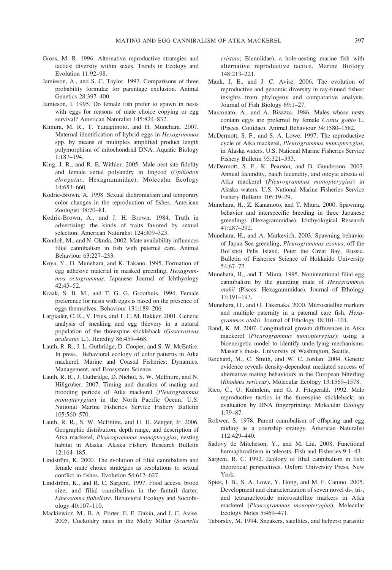- Gross, M. R. 1996. Alternative reproductive strategies and tactics: diversity within sexes. Trends in Ecology and Evolution 11:92–98.
- Jamieson, A., and S. C. Taylor. 1997. Comparisons of three probability formulae for parentage exclusion. Animal Genetics 28:397–400.
- Jamieson, I. 1995. Do female fish prefer to spawn in nests with eggs for reasons of mate choice copying or egg survival? American Naturalist 145:824–832.
- Kimura, M. R., T. Yanagimoto, and H. Munehara. 2007. Maternal identification of hybrid eggs in Hexagrammos spp. by means of multiplex amplified product length polymorphism of mitochondrial DNA. Aquatic Biology 1:187–194.
- King, J. R., and R. E. Withler. 2005. Male nest site fidelity and female serial polyandry in lingcod (Ophiodon elongatus, Hexagrammidae). Molecular Ecology 14:653–660.
- Kodric-Brown, A. 1998. Sexual dichromatism and temporary color changes in the reproduction of fishes. American Zoologist 38:70–81.
- Kodric-Brown, A., and J. H. Brown. 1984. Truth in advertising: the kinds of traits favored by sexual selection. American Naturalist 124:309–323.
- Kondoh, M., and N. Okuda. 2002. Mate availability influences filial cannibalism in fish with paternal care. Animal Behaviour 63:227–233.
- Koya, Y., H. Munehara, and K. Takano. 1995. Formation of egg adhesive material in masked greenling, Hexagrammos octogrammus. Japanese Journal of Ichthyology  $42:45-52$ .
- Kraak, S. B. M., and T. G. G. Groothuis. 1994. Female preference for nests with eggs is based on the presence of eggs themselves. Behaviour 131:189–206.
- Largiader, C. R., V. Fries, and T. C. M. Bakker. 2001. Genetic analysis of sneaking and egg thievery in a natural population of the threespine stickleback (Gasterosteus aculeatus L.). Heredity 86:459–468.
- Lauth, R. R., J. L. Guthridge, D. Cooper, and S. W. McEntire. In press. Behavioral ecology of color patterns in Atka mackerel. Marine and Coastal Fisheries: Dynamics, Management, and Ecosystem Science.
- Lauth, R. R., J. Guthridge, D. Nichol, S. W. McEntire, and N. Hillgruber. 2007. Timing and duration of mating and brooding periods of Atka mackerel (Pleurogrammus monopterygius) in the North Pacific Ocean. U.S. National Marine Fisheries Service Fishery Bulletin 105:560–570.
- Lauth, R. R., S. W. McEntire, and H. H. Zenger, Jr. 2006. Geographic distribution, depth range, and description of Atka mackerel, Pleurogrammus monopterygius, nesting habitat in Alaska. Alaska Fishery Research Bulletin 12:164–185.
- Lindström, K. 2000. The evolution of filial cannibalism and female mate choice strategies as resolutions to sexual conflict in fishes. Evolution 54:617–627.
- Lindström, K., and R. C. Sargent. 1997. Food access, brood size, and filial cannibalism in the fantail darter, Etheostoma flabellare. Behavioral Ecology and Sociobiology 40:107–110.
- Mackiewicz, M., B. A. Porter, E. E. Dakin, and J. C. Avise. 2005. Cuckoldry rates in the Molly Miller (Scartella

cristata; Blenniidae), a hole-nesting marine fish with alternative reproductive tactics. Marine Biology 148:213–221.

- Mank, J. E., and J. C. Avise. 2006. The evolution of reproductive and genomic diversity in ray-finned fishes: insights from phylogeny and comparative analysis. Journal of Fish Biology 69:1–27.
- Marconato, A., and A. Bisazza. 1986. Males whose nests contain eggs are preferred by female Cottus gobio L. (Pisces, Cottidae). Animal Behaviour 34:1580–1582.
- McDermott, S. F., and S. A. Lowe. 1997. The reproductive cycle of Atka mackerel, Pleurogrammus monopterygius, in Alaska waters. U.S. National Marine Fisheries Service Fishery Bulletin 95:321–333.
- McDermott, S. F., K. Pearson, and D. Gunderson. 2007. Annual fecundity, batch fecundity, and oocyte atresia of Atka mackerel (Pleurogrammus monopterygius) in Alaska waters. U.S. National Marine Fisheries Service Fishery Bulletin 105:19–29.
- Munehara, H., Z. Kanamoto, and T. Miura. 2000. Spawning behavior and interspecific breeding in three Japanese greenlings (Hexagrammidae). Ichthyological Research 47:287–292.
- Munehara, H., and A. Markevich. 2003. Spawning behavior of Japan Sea greenling, Pleurogrammus azonus, off the Bol'shoi Pelis Island, Peter the Great Bay, Russia. Bulletin of Fisheries Science of Hokkaido University 54:67–72.
- Munehara, H., and T. Miura. 1995. Nonintentional filial egg cannibalism by the guarding male of Hexagrammos otakii (Pisces: Hexagrammidae). Journal of Ethology 13:191–193.
- Munehara, H., and O. Takenaka. 2000. Microsatellite markers and multiple paternity in a paternal care fish, Hexagrammos otakii. Journal of Ethology 18:101–104.
- Rand, K. M. 2007. Longitudinal growth differences in Atka mackerel (Pleurogrammus monopterygius): using a bioenergetic model to identify underlying mechanisms. Master's thesis. University of Washington, Seattle.
- Reichard, M., C. Smith, and W. C. Jordan. 2004. Genetic evidence reveals density-dependent mediated success of alternative mating behaviours in the European bitterling (Rhodeus sericeus). Molecular Ecology 13:1569–1578.
- Rico, C., U. Kuhnlein, and G. J. Fitzgerald. 1992. Male reproductive tactics in the threespine stickleback: an evaluation by DNA fingerprinting. Molecular Ecology 1:79–87.
- Rohwer, S. 1978. Parent cannibalism of offspring and egg raiding as a courtship strategy. American Naturalist 112:429–440.
- Sadovy de Mitcheson, Y., and M. Liu. 2008. Functional hermaphroditism in teleosts. Fish and Fisheries 9:1–43.
- Sargent, R. C. 1992. Ecology of filial cannibalism in fish: theoretical perspectives. Oxford University Press, New York.
- Spies, I. B., S. A. Lowe, Y. Hong, and M. F. Canino. 2005. Development and characterization of seven novel di-, tri-, and tetranucleotide microsatellite markers in Atka mackerel (Pleurogrammus monopterygius). Molecular Ecology Notes 5:469–471.
- Taborsky, M. 1994. Sneakers, satellites, and helpers: parasitic